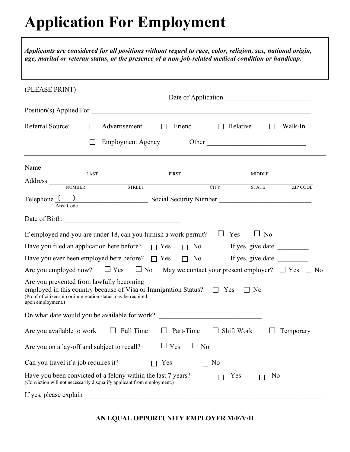# **Application For Employment**

| Applicants are considered for all positions without regard to race, color, religion, sex, national origin,<br>age, marital or veteran status, or the presence of a non-job-related medical condition or handicap. |                          |                |                         |                |                             |           |                 |
|-------------------------------------------------------------------------------------------------------------------------------------------------------------------------------------------------------------------|--------------------------|----------------|-------------------------|----------------|-----------------------------|-----------|-----------------|
| (PLEASE PRINT)                                                                                                                                                                                                    |                          |                |                         |                |                             |           |                 |
| Position(s) Applied For                                                                                                                                                                                           |                          |                |                         |                |                             |           |                 |
| Referral Source:                                                                                                                                                                                                  | Advertisement            | $\mathbb{R}^n$ | Friend                  |                | $\Box$ Relative             |           | Walk-In         |
|                                                                                                                                                                                                                   | <b>Employment Agency</b> |                |                         |                | Other                       |           |                 |
| Name LAST                                                                                                                                                                                                         |                          |                | FIRST                   |                |                             |           |                 |
| Address NUMBER STREET                                                                                                                                                                                             |                          |                |                         |                | <b>MIDDLE</b>               |           |                 |
| Area Code                                                                                                                                                                                                         |                          |                |                         |                | <b>CITY</b><br><b>STATE</b> |           | <b>ZIP CODE</b> |
|                                                                                                                                                                                                                   |                          |                |                         |                |                             |           |                 |
| If employed and you are under 18, can you furnish a work permit? $\Box$ Yes                                                                                                                                       |                          |                |                         |                |                             | $\Box$ No |                 |
| Have you filed an application here before? $\Box$ Yes                                                                                                                                                             |                          |                |                         |                |                             |           |                 |
| Have you ever been employed here before? $\Box$ Yes                                                                                                                                                               |                          |                |                         |                | $\Box$ No If yes, give date |           |                 |
| Are you employed now? $\Box$ Yes $\Box$ No May we contact your present employer? $\Box$ Yes $\Box$ No                                                                                                             |                          |                |                         |                |                             |           |                 |
| Are you prevented from lawfully becoming<br>employed in this country because of Visa or Immigration Status? $\square$ Yes<br>(Proof of citizenship or immigration status may be required<br>upon employment.)     |                          |                |                         |                | $\Box$ No                   |           |                 |
| On what date would you be available for work?                                                                                                                                                                     |                          |                |                         |                |                             |           |                 |
| Are you available to work                                                                                                                                                                                         | Full Time                |                | Part-Time               | ⊔              | Shift Work                  |           | Temporary       |
| Are you on a lay-off and subject to recall?                                                                                                                                                                       |                          |                | $\Box$ Yes<br>$\Box$ No |                |                             |           |                 |
| Can you travel if a job requires it?                                                                                                                                                                              |                          | Yes            |                         | N <sub>0</sub> |                             |           |                 |
| Have you been convicted of a felony within the last 7 years?<br>(Conviction will not necessarily disqualify applicant from employment.)                                                                           |                          |                |                         |                | Yes                         | No        |                 |
| If yes, please explain                                                                                                                                                                                            |                          |                |                         |                |                             |           |                 |

 $\mathcal{L}_\mathcal{L} = \mathcal{L}_\mathcal{L} = \mathcal{L}_\mathcal{L} = \mathcal{L}_\mathcal{L} = \mathcal{L}_\mathcal{L} = \mathcal{L}_\mathcal{L} = \mathcal{L}_\mathcal{L} = \mathcal{L}_\mathcal{L} = \mathcal{L}_\mathcal{L} = \mathcal{L}_\mathcal{L} = \mathcal{L}_\mathcal{L} = \mathcal{L}_\mathcal{L} = \mathcal{L}_\mathcal{L} = \mathcal{L}_\mathcal{L} = \mathcal{L}_\mathcal{L} = \mathcal{L}_\mathcal{L} = \mathcal{L}_\mathcal{L}$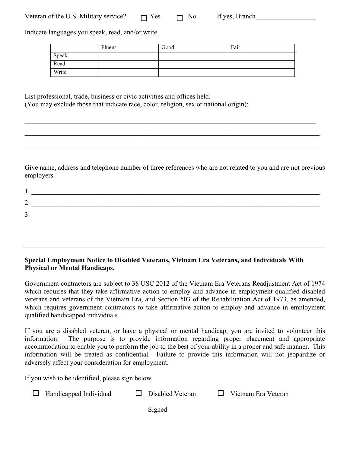| Veteran of the U.S. Military service? | Yes | No | If yes, Branch |  |
|---------------------------------------|-----|----|----------------|--|
|---------------------------------------|-----|----|----------------|--|

Indicate languages you speak, read, and/or write.

|       | Fluent | Good | Fair |
|-------|--------|------|------|
| Speak |        |      |      |
| Read  |        |      |      |
| Write |        |      |      |

 $\mathcal{L}_\mathcal{L} = \{ \mathcal{L}_\mathcal{L} = \{ \mathcal{L}_\mathcal{L} = \{ \mathcal{L}_\mathcal{L} = \{ \mathcal{L}_\mathcal{L} = \{ \mathcal{L}_\mathcal{L} = \{ \mathcal{L}_\mathcal{L} = \{ \mathcal{L}_\mathcal{L} = \{ \mathcal{L}_\mathcal{L} = \{ \mathcal{L}_\mathcal{L} = \{ \mathcal{L}_\mathcal{L} = \{ \mathcal{L}_\mathcal{L} = \{ \mathcal{L}_\mathcal{L} = \{ \mathcal{L}_\mathcal{L} = \{ \mathcal{L}_\mathcal{$ 

 $\mathcal{L}_\mathcal{L} = \{ \mathcal{L}_\mathcal{L} = \{ \mathcal{L}_\mathcal{L} = \{ \mathcal{L}_\mathcal{L} = \{ \mathcal{L}_\mathcal{L} = \{ \mathcal{L}_\mathcal{L} = \{ \mathcal{L}_\mathcal{L} = \{ \mathcal{L}_\mathcal{L} = \{ \mathcal{L}_\mathcal{L} = \{ \mathcal{L}_\mathcal{L} = \{ \mathcal{L}_\mathcal{L} = \{ \mathcal{L}_\mathcal{L} = \{ \mathcal{L}_\mathcal{L} = \{ \mathcal{L}_\mathcal{L} = \{ \mathcal{L}_\mathcal{$ 

 $\mathcal{L}_\mathcal{L} = \{ \mathcal{L}_\mathcal{L} = \{ \mathcal{L}_\mathcal{L} = \{ \mathcal{L}_\mathcal{L} = \{ \mathcal{L}_\mathcal{L} = \{ \mathcal{L}_\mathcal{L} = \{ \mathcal{L}_\mathcal{L} = \{ \mathcal{L}_\mathcal{L} = \{ \mathcal{L}_\mathcal{L} = \{ \mathcal{L}_\mathcal{L} = \{ \mathcal{L}_\mathcal{L} = \{ \mathcal{L}_\mathcal{L} = \{ \mathcal{L}_\mathcal{L} = \{ \mathcal{L}_\mathcal{L} = \{ \mathcal{L}_\mathcal{$ 

List professional, trade, business or civic activities and offices held. (You may exclude those that indicate race, color, religion, sex or national origin):

Give name, address and telephone number of three references who are not related to you and are not previous employers.

| <u>.</u>                 |  |
|--------------------------|--|
| $\overline{\phantom{a}}$ |  |

#### **Special Employment Notice to Disabled Veterans, Vietnam Era Veterans, and Individuals With Physical or Mental Handicaps.**

Government contractors are subject to 38 USC 2012 of the Vietnam Era Veterans Readjustment Act of 1974 which requires that they take affirmative action to employ and advance in employment qualified disabled veterans and veterans of the Vietnam Era, and Section 503 of the Rehabilitation Act of 1973, as amended, which requires government contractors to take affirmative action to employ and advance in employment qualified handicapped individuals.

If you are a disabled veteran, or have a physical or mental handicap, you are invited to volunteer this information. The purpose is to provide information regarding proper placement and appropriate accommodation to enable you to perform the job to the best of your ability in a proper and safe manner. This information will be treated as confidential. Failure to provide this information will not jeopardize or adversely affect your consideration for employment.

If you wish to be identified, please sign below.

| $\Box$ Handicapped Individual | $\Box$ Disabled Veteran | Vietnam Era Veteran<br>$\Box$ |
|-------------------------------|-------------------------|-------------------------------|
|                               | Signed                  |                               |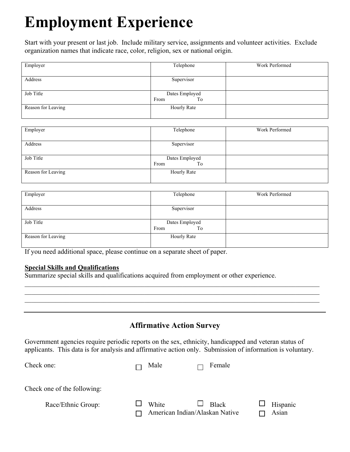## **Employment Experience**

Start with your present or last job. Include military service, assignments and volunteer activities. Exclude organization names that indicate race, color, religion, sex or national origin.

| Employer           | Telephone          | Work Performed |
|--------------------|--------------------|----------------|
|                    |                    |                |
| Address            | Supervisor         |                |
|                    |                    |                |
| Job Title          | Dates Employed     |                |
|                    | From<br>To         |                |
| Reason for Leaving | <b>Hourly Rate</b> |                |
|                    |                    |                |

| Employer           | Telephone                    | Work Performed |
|--------------------|------------------------------|----------------|
| Address            | Supervisor                   |                |
| Job Title          | Dates Employed<br>From<br>To |                |
| Reason for Leaving | Hourly Rate                  |                |

| Employer           | Telephone          | Work Performed |
|--------------------|--------------------|----------------|
|                    |                    |                |
| Address            | Supervisor         |                |
|                    |                    |                |
| Job Title          | Dates Employed     |                |
|                    | To<br>From         |                |
| Reason for Leaving | <b>Hourly Rate</b> |                |
|                    |                    |                |

If you need additional space, please continue on a separate sheet of paper.

#### **Special Skills and Qualifications**

Summarize special skills and qualifications acquired from employment or other experience.

### **Affirmative Action Survey**

 $\mathcal{L}_\mathcal{L} = \{ \mathcal{L}_\mathcal{L} = \{ \mathcal{L}_\mathcal{L} = \{ \mathcal{L}_\mathcal{L} = \{ \mathcal{L}_\mathcal{L} = \{ \mathcal{L}_\mathcal{L} = \{ \mathcal{L}_\mathcal{L} = \{ \mathcal{L}_\mathcal{L} = \{ \mathcal{L}_\mathcal{L} = \{ \mathcal{L}_\mathcal{L} = \{ \mathcal{L}_\mathcal{L} = \{ \mathcal{L}_\mathcal{L} = \{ \mathcal{L}_\mathcal{L} = \{ \mathcal{L}_\mathcal{L} = \{ \mathcal{L}_\mathcal{$  $\mathcal{L}_\mathcal{L} = \{ \mathcal{L}_\mathcal{L} = \{ \mathcal{L}_\mathcal{L} = \{ \mathcal{L}_\mathcal{L} = \{ \mathcal{L}_\mathcal{L} = \{ \mathcal{L}_\mathcal{L} = \{ \mathcal{L}_\mathcal{L} = \{ \mathcal{L}_\mathcal{L} = \{ \mathcal{L}_\mathcal{L} = \{ \mathcal{L}_\mathcal{L} = \{ \mathcal{L}_\mathcal{L} = \{ \mathcal{L}_\mathcal{L} = \{ \mathcal{L}_\mathcal{L} = \{ \mathcal{L}_\mathcal{L} = \{ \mathcal{L}_\mathcal{$  $\mathcal{L}_\mathcal{L} = \{ \mathcal{L}_\mathcal{L} = \{ \mathcal{L}_\mathcal{L} = \{ \mathcal{L}_\mathcal{L} = \{ \mathcal{L}_\mathcal{L} = \{ \mathcal{L}_\mathcal{L} = \{ \mathcal{L}_\mathcal{L} = \{ \mathcal{L}_\mathcal{L} = \{ \mathcal{L}_\mathcal{L} = \{ \mathcal{L}_\mathcal{L} = \{ \mathcal{L}_\mathcal{L} = \{ \mathcal{L}_\mathcal{L} = \{ \mathcal{L}_\mathcal{L} = \{ \mathcal{L}_\mathcal{L} = \{ \mathcal{L}_\mathcal{$ 

Government agencies require periodic reports on the sex, ethnicity, handicapped and veteran status of applicants. This data is for analysis and affirmative action only. Submission of information is voluntary.

| Check one:                  | Male                                    | Female       |                   |
|-----------------------------|-----------------------------------------|--------------|-------------------|
| Check one of the following: |                                         |              |                   |
| Race/Ethnic Group:          | White<br>American Indian/Alaskan Native | <b>Black</b> | Hispanic<br>Asian |